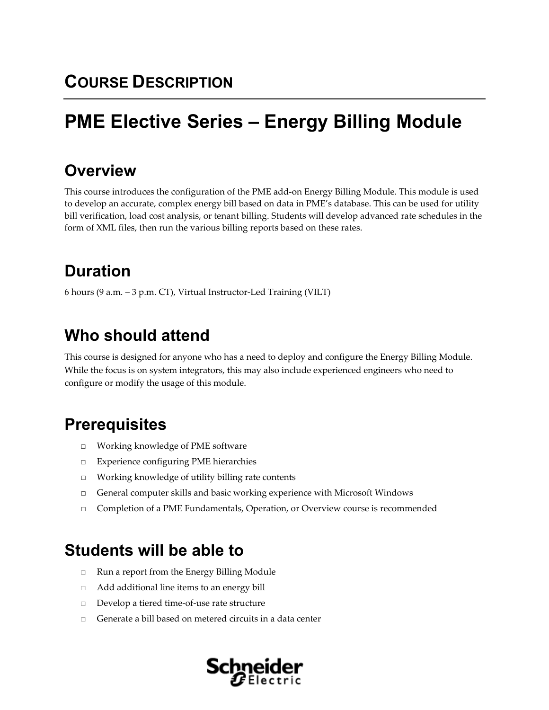# **PME Elective Series – Energy Billing Module**

### **Overview**

This course introduces the configuration of the PME add‐on Energy Billing Module. This module is used to develop an accurate, complex energy bill based on data in PME's database. This can be used for utility bill verification, load cost analysis, or tenant billing. Students will develop advanced rate schedules in the form of XML files, then run the various billing reports based on these rates.

# **Duration**

6 hours (9 a.m. – 3 p.m. CT), Virtual Instructor‐Led Training (VILT)

# **Who should attend**

This course is designed for anyone who has a need to deploy and configure the Energy Billing Module. While the focus is on system integrators, this may also include experienced engineers who need to configure or modify the usage of this module.

## **Prerequisites**

- □ Working knowledge of PME software
- □ Experience configuring PME hierarchies
- □ Working knowledge of utility billing rate contents
- □ General computer skills and basic working experience with Microsoft Windows
- □ Completion of a PME Fundamentals, Operation, or Overview course is recommended

### **Students will be able to**

- □ Run a report from the Energy Billing Module
- □ Add additional line items to an energy bill
- □ Develop a tiered time‐of‐use rate structure
- $\Box$  Generate a bill based on metered circuits in a data center